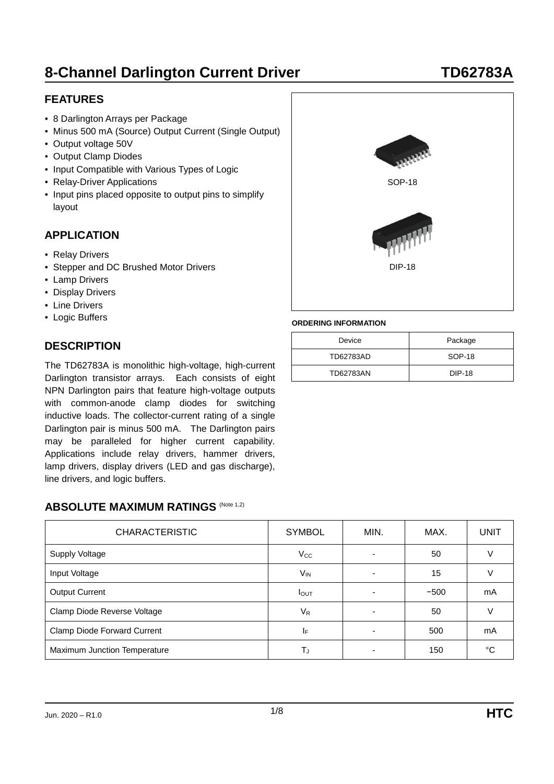## **FEATURES**

- 8 Darlington Arrays per Package
- Minus 500 mA (Source) Output Current (Single Output)
- Output voltage 50V
- Output Clamp Diodes
- Input Compatible with Various Types of Logic
- Relay-Driver Applications
- Input pins placed opposite to output pins to simplify layout

### **APPLICATION**

- Relay Drivers
- Stepper and DC Brushed Motor Drivers
- Lamp Drivers
- Display Drivers
- Line Drivers
- Logic Buffers

## **DESCRIPTION**

The TD62783A is monolithic high-voltage, high-current Darlington transistor arrays. Each consists of eight NPN Darlington pairs that feature high-voltage outputs with common-anode clamp diodes for switching inductive loads. The collector-current rating of a single Darlington pair is minus 500 mA. The Darlington pairs may be paralleled for higher current capability. Applications include relay drivers, hammer drivers, lamp drivers, display drivers (LED and gas discharge), line drivers, and logic buffers.

### **ABSOLUTE MAXIMUM RATINGS (Note 1,2)**

| <b>CHARACTERISTIC</b>        | <b>SYMBOL</b>                  | MIN.                     | MAX.   | <b>UNIT</b> |  |
|------------------------------|--------------------------------|--------------------------|--------|-------------|--|
| <b>Supply Voltage</b>        | $V_{\rm CC}$                   | $\overline{\phantom{a}}$ | 50     |             |  |
| Input Voltage                | $V_{IN}$                       | 15<br>٠                  |        |             |  |
| <b>Output Current</b>        | $I_{\text{OUT}}$               | ٠                        | $-500$ | mA          |  |
| Clamp Diode Reverse Voltage  | $V_R$                          | ٠                        | 50     |             |  |
| Clamp Diode Forward Current  | ΙF<br>$\overline{\phantom{0}}$ |                          | 500    | mA          |  |
| Maximum Junction Temperature | T,                             |                          | 150    | °C          |  |



SOP-18

DIP-18

Device **Package** TD62783AD SOP-18 TD62783AN DIP-18

**ORDERING INFORMATION**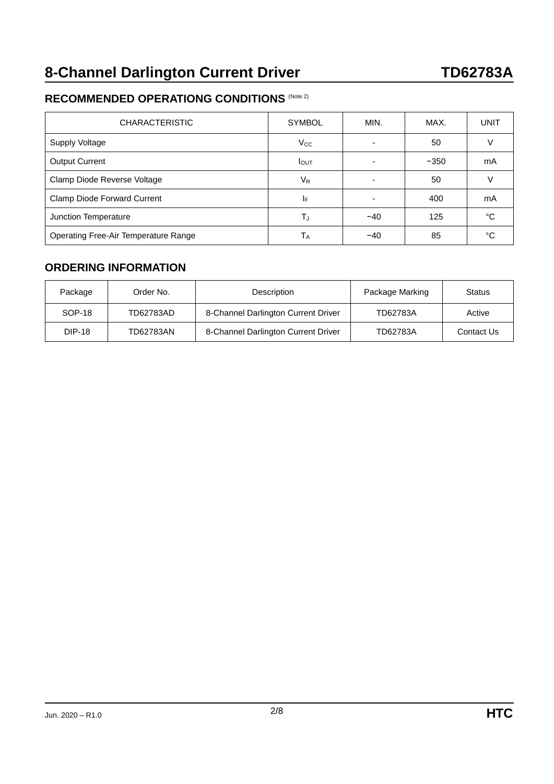## **RECOMMENDED OPERATIONG CONDITIONS** (Note 2)

| <b>CHARACTERISTIC</b>                | <b>SYMBOL</b>    | MIN.                     | MAX. | UNIT   |
|--------------------------------------|------------------|--------------------------|------|--------|
| <b>Supply Voltage</b>                | $V_{\rm CC}$     | $\overline{\phantom{0}}$ | 50   |        |
| <b>Output Current</b>                | $I_{\text{OUT}}$ |                          | mA   |        |
| Clamp Diode Reverse Voltage          | $V_{R}$          | $\overline{\phantom{0}}$ | 50   | $\vee$ |
| Clamp Diode Forward Current          | IF               |                          | 400  | mA     |
| Junction Temperature                 | Tu               | $-40$                    | 125  | °C     |
| Operating Free-Air Temperature Range | Т <sub>А</sub>   | $-40$                    | 85   | °C     |

### **ORDERING INFORMATION**

| Package       | Order No. | Description                         | Package Marking | <b>Status</b> |  |
|---------------|-----------|-------------------------------------|-----------------|---------------|--|
| SOP-18        | TD62783AD | 8-Channel Darlington Current Driver | TD62783A        | Active        |  |
| <b>DIP-18</b> | TD62783AN | 8-Channel Darlington Current Driver | TD62783A        | Contact Us    |  |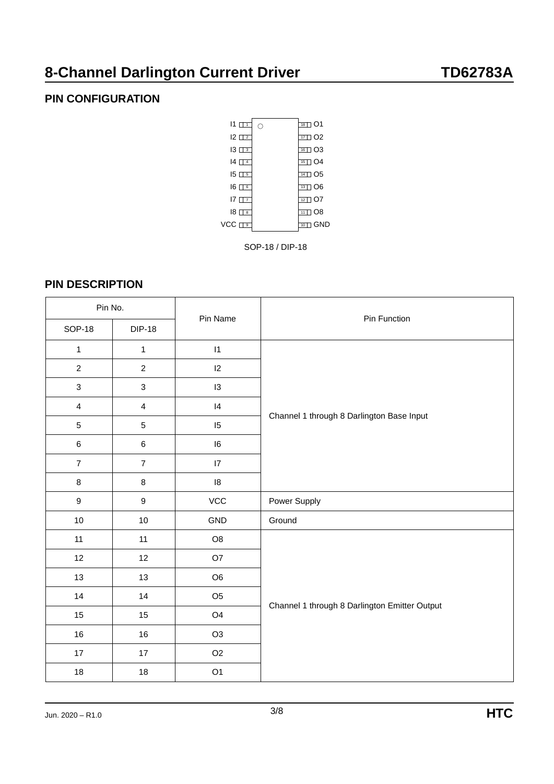## **PIN CONFIGURATION**



SOP-18 / DIP-18

### **PIN DESCRIPTION**

| Pin No.                   |                  |                 |                                               |  |
|---------------------------|------------------|-----------------|-----------------------------------------------|--|
| <b>SOP-18</b>             | <b>DIP-18</b>    | Pin Name        | Pin Function                                  |  |
| $\mathbf{1}$              | $\mathbf{1}$     | $\vert 1 \vert$ |                                               |  |
| $\overline{c}$            | $\overline{2}$   | 12              |                                               |  |
| $\ensuremath{\mathsf{3}}$ | $\mathbf{3}$     | 13              |                                               |  |
| $\overline{4}$            | $\overline{4}$   | 4               |                                               |  |
| $5\,$                     | 5                | 15              | Channel 1 through 8 Darlington Base Input     |  |
| $\,6\,$                   | $\,6$            | 16              |                                               |  |
| $\overline{7}$            | $\overline{7}$   | 17              |                                               |  |
| $\bf 8$                   | $\bf 8$          | 18              |                                               |  |
| $\boldsymbol{9}$          | $\boldsymbol{9}$ | ${\tt VCC}$     | Power Supply                                  |  |
| $10$                      | $10\,$           | GND             | Ground                                        |  |
| 11                        | 11               | O8              |                                               |  |
| 12                        | 12               | O7              |                                               |  |
| 13                        | 13               | O <sub>6</sub>  |                                               |  |
| 14                        | 14               | O <sub>5</sub>  |                                               |  |
| $15\,$                    | $15\,$           | O <sub>4</sub>  | Channel 1 through 8 Darlington Emitter Output |  |
| 16                        | $16\,$           | O <sub>3</sub>  |                                               |  |
| 17                        | $17\,$           | O <sub>2</sub>  |                                               |  |
| 18                        | $18$             | O <sub>1</sub>  |                                               |  |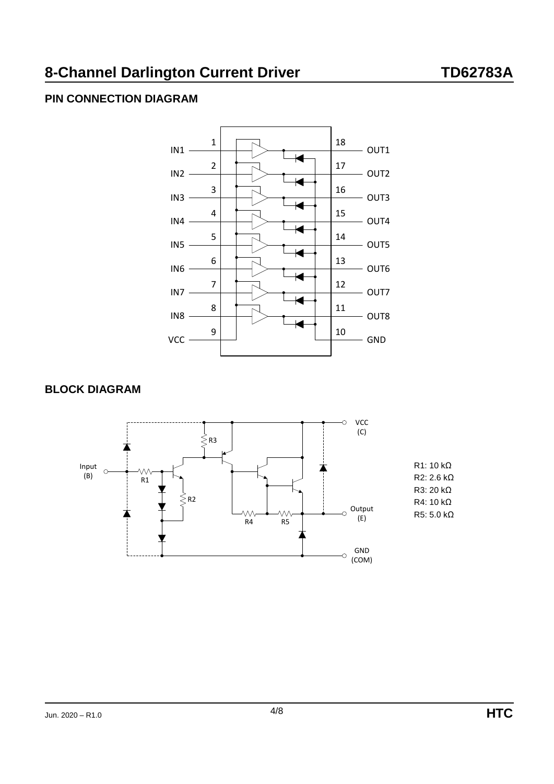# **PIN CONNECTION DIAGRAM**



### **BLOCK DIAGRAM**

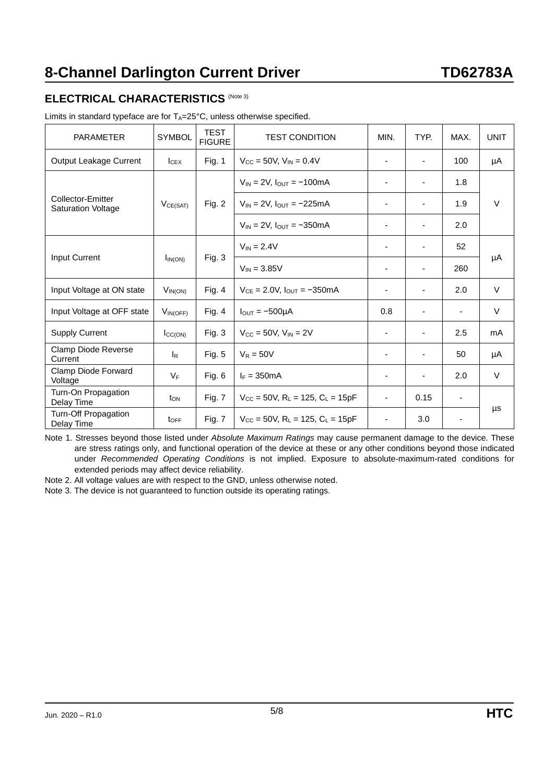### **ELECTRICAL CHARACTERISTICS** (Note 3)

| <b>PARAMETER</b>                               | <b>SYMBOL</b>             | <b>TEST</b><br><b>FIGURE</b> | <b>TEST CONDITION</b>                                               | MIN.                     | TYP.                         | MAX.           | <b>UNIT</b> |
|------------------------------------------------|---------------------------|------------------------------|---------------------------------------------------------------------|--------------------------|------------------------------|----------------|-------------|
| <b>Output Leakage Current</b>                  | $I_{CEX}$                 | Fig. 1                       | $V_{\text{CC}} = 50V$ , $V_{\text{IN}} = 0.4V$                      |                          | ٠                            | 100            | μA          |
|                                                | $V_{CE(SAT)}$             | Fig. 2                       | $V_{IN}$ = 2V, $I_{OUT}$ = -100mA                                   | ٠                        | $\overline{\phantom{a}}$     | 1.8            | $\vee$      |
| Collector-Emitter<br><b>Saturation Voltage</b> |                           |                              | $V_{IN} = 2V$ , $I_{OUIT} = -225mA$                                 | ٠                        | $\overline{\phantom{a}}$     | 1.9            |             |
|                                                |                           |                              | $V_{IN}$ = 2V, $I_{OUT}$ = -350mA                                   | $\overline{\phantom{a}}$ | ٠                            | 2.0            |             |
| Input Current                                  | $I_{IN(ON)}$              |                              | $V_{IN} = 2.4V$                                                     | ٠                        | $\overline{\phantom{a}}$     | 52             |             |
|                                                |                           | Fig. 3                       | $V_{IN} = 3.85V$                                                    | $\overline{\phantom{a}}$ | $\overline{\phantom{a}}$     | 260            | μA          |
| Input Voltage at ON state                      | $V_{IN(ON)}$              | Fig. $4$                     | $V_{CE} = 2.0V$ , $I_{OUT} = -350mA$                                | $\overline{\phantom{a}}$ | ٠                            | 2.0            | $\vee$      |
| Input Voltage at OFF state                     | VIN(OFF)                  | Fig. 4                       | $I_{\text{OUT}} = -500\mu\text{A}$                                  | 0.8                      |                              | $\blacksquare$ | $\vee$      |
| <b>Supply Current</b>                          | $I_{CC(ON)}$              | Fig. $3$                     | $V_{\text{CC}} = 50V$ , $V_{\text{IN}} = 2V$                        | ٠                        | $\qquad \qquad \blacksquare$ | 2.5            | mA          |
| Clamp Diode Reverse<br>Current                 | <sub>l</sub> <sub>R</sub> | Fig. $5$                     | $V_R = 50V$                                                         | $\overline{\phantom{a}}$ | $\overline{\phantom{a}}$     | 50             | μA          |
| Clamp Diode Forward<br>Voltage                 | $V_F$                     | Fig. 6                       | $I_F = 350mA$                                                       | $\overline{\phantom{a}}$ | $\overline{\phantom{a}}$     | 2.0            | $\vee$      |
| Turn-On Propagation<br>Delay Time              | $t_{ON}$                  | Fig. 7                       | $V_{CC}$ = 50V, R <sub>L</sub> = 125, C <sub>L</sub> = 15pF         | $\overline{\phantom{a}}$ | 0.15                         | ۰              |             |
| Turn-Off Propagation<br>Delay Time             | $t_{\text{OFF}}$          | Fig. 7                       | $V_{\text{CC}} = 50V$ , R <sub>L</sub> = 125, C <sub>L</sub> = 15pF | ٠                        | 3.0                          | ۰              | μs          |

Note 1. Stresses beyond those listed under *Absolute Maximum Ratings* may cause permanent damage to the device. These are stress ratings only, and functional operation of the device at these or any other conditions beyond those indicated under *Recommended Operating Conditions* is not implied. Exposure to absolute-maximum-rated conditions for extended periods may affect device reliability.

Note 2. All voltage values are with respect to the GND, unless otherwise noted.

Note 3. The device is not guaranteed to function outside its operating ratings.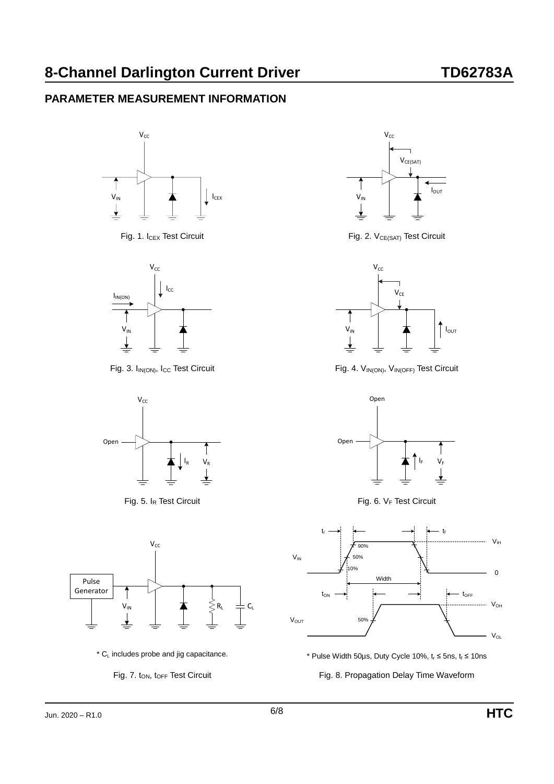## **PARAMETER MEASUREMENT INFORMATION**













Fig. 1.  $I_{CEX}$  Test Circuit Fig. 2.  $V_{CE(SAT)}$  Test Circuit



Fig. 3. I<sub>IN(ON)</sub>, I<sub>CC</sub> Test Circuit Fig. 4. V<sub>IN(ON)</sub>, V<sub>IN(OFF)</sub> Test Circuit



Fig. 5.  $I_R$  Test Circuit Fig. 6.  $V_F$  Test Circuit





Fig. 7. t<sub>ON</sub>, t<sub>OFF</sub> Test Circuit Fig. 8. Propagation Delay Time Waveform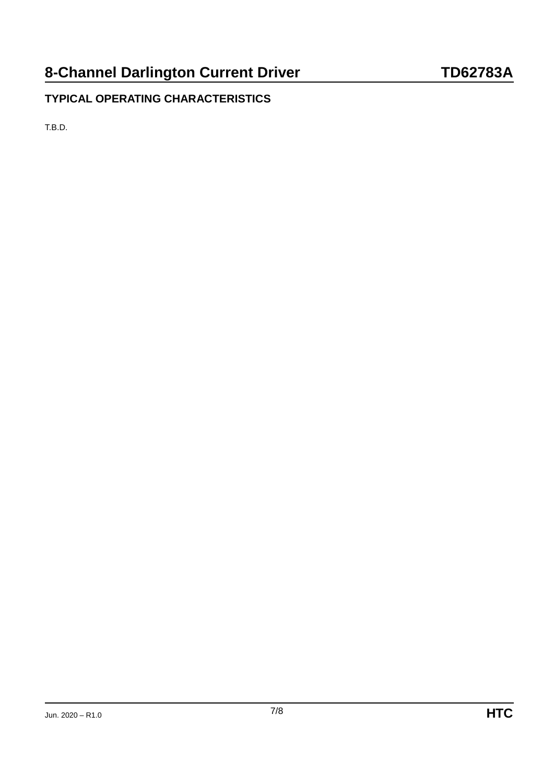# **TYPICAL OPERATING CHARACTERISTICS**

T.B.D.